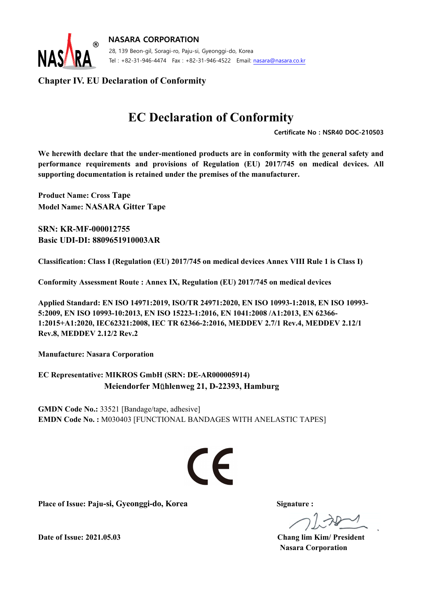

**NASARA CORPORATION**  28, 139 Beon-gil, Soragi-ro, Paju-si, Gyeonggi-do, Korea Tel : +82-31-946-4474 Fax : +82-31-946-4522 Email: nasara@nasara.co.kr

#### **Chapter IV. EU Declaration of Conformity**

## **EC Declaration of Conformity**

 **Certificate No : NSR40 DOC-210503** 

We herewith declare that the under-mentioned products are in conformity with the general safety and **performance requirements and provisions of Regulation (EU) 2017/745 on medical devices. All supporting documentation is retained under the premises of the manufacturer.** 

**Product Name: Cross Tape Model Name: NASARA Gitter Tape** 

**SRN: KR-MF-000012755 Basic UDI-DI: 8809651910003AR** 

**Classification: Class I (Regulation (EU) 2017/745 on medical devices Annex VIII Rule 1 is Class I)** 

**Conformity Assessment Route : Annex IX, Regulation (EU) 2017/745 on medical devices** 

**Applied Standard: EN ISO 14971:2019, ISO/TR 24971:2020, EN ISO 10993-1:2018, EN ISO 10993- 5:2009, EN ISO 10993-10:2013, EN ISO 15223-1:2016, EN 1041:2008 /A1:2013, EN 62366- 1:2015+A1:2020, IEC62321:2008, IEC TR 62366-2:2016, MEDDEV 2.7/1 Rev.4, MEDDEV 2.12/1 Rev.8, MEDDEV 2.12/2 Rev.2** 

**Manufacture: Nasara Corporation** 

**EC Representative: MIKROS GmbH (SRN: DE-AR000005914) Meiendorfer M**ü**hlenweg 21, D-22393, Hamburg** 

**GMDN Code No.:** 33521 [Bandage/tape, adhesive] **EMDN Code No. :** M030403 [FUNCTIONAL BANDAGES WITH ANELASTIC TAPES]

# $\epsilon$

**Place of Issue: Paju-si, Gyeonggi-do, Korea Signature :**

**Date of Issue: 2021.05.03 Chang lim Kim/ President Nasara Corporation**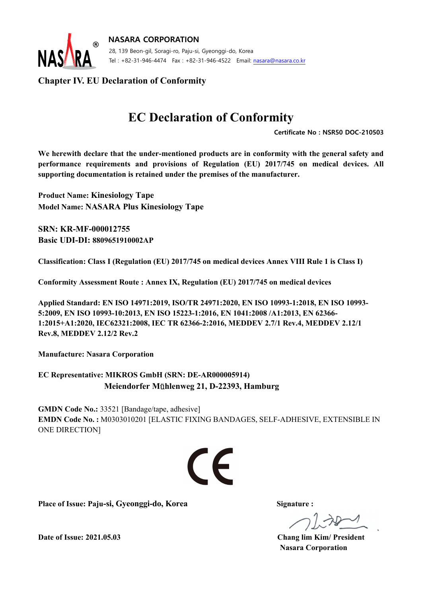

**NASARA CORPORATION**  28, 139 Beon-gil, Soragi-ro, Paju-si, Gyeonggi-do, Korea Tel : +82-31-946-4474 Fax : +82-31-946-4522 Email: nasara@nasara.co.kr

#### **Chapter IV. EU Declaration of Conformity**

## **EC Declaration of Conformity**

 **Certificate No : NSR50 DOC-210503** 

We herewith declare that the under-mentioned products are in conformity with the general safety and **performance requirements and provisions of Regulation (EU) 2017/745 on medical devices. All supporting documentation is retained under the premises of the manufacturer.** 

**Product Name: Kinesiology Tape Model Name: NASARA Plus Kinesiology Tape** 

**SRN: KR-MF-000012755 Basic UDI-DI: 8809651910002AP**

**Classification: Class I (Regulation (EU) 2017/745 on medical devices Annex VIII Rule 1 is Class I)** 

**Conformity Assessment Route : Annex IX, Regulation (EU) 2017/745 on medical devices** 

**Applied Standard: EN ISO 14971:2019, ISO/TR 24971:2020, EN ISO 10993-1:2018, EN ISO 10993- 5:2009, EN ISO 10993-10:2013, EN ISO 15223-1:2016, EN 1041:2008 /A1:2013, EN 62366- 1:2015+A1:2020, IEC62321:2008, IEC TR 62366-2:2016, MEDDEV 2.7/1 Rev.4, MEDDEV 2.12/1 Rev.8, MEDDEV 2.12/2 Rev.2** 

**Manufacture: Nasara Corporation** 

**EC Representative: MIKROS GmbH (SRN: DE-AR000005914) Meiendorfer M**ü**hlenweg 21, D-22393, Hamburg** 

**GMDN Code No.:** 33521 [Bandage/tape, adhesive] **EMDN Code No. :** M0303010201 [ELASTIC FIXING BANDAGES, SELF-ADHESIVE, EXTENSIBLE IN ONE DIRECTION]



**Place of Issue: Paju-si, Gyeonggi-do, Korea Signature :**

**Date of Issue: 2021.05.03 Chang lim Kim/ President Nasara Corporation**